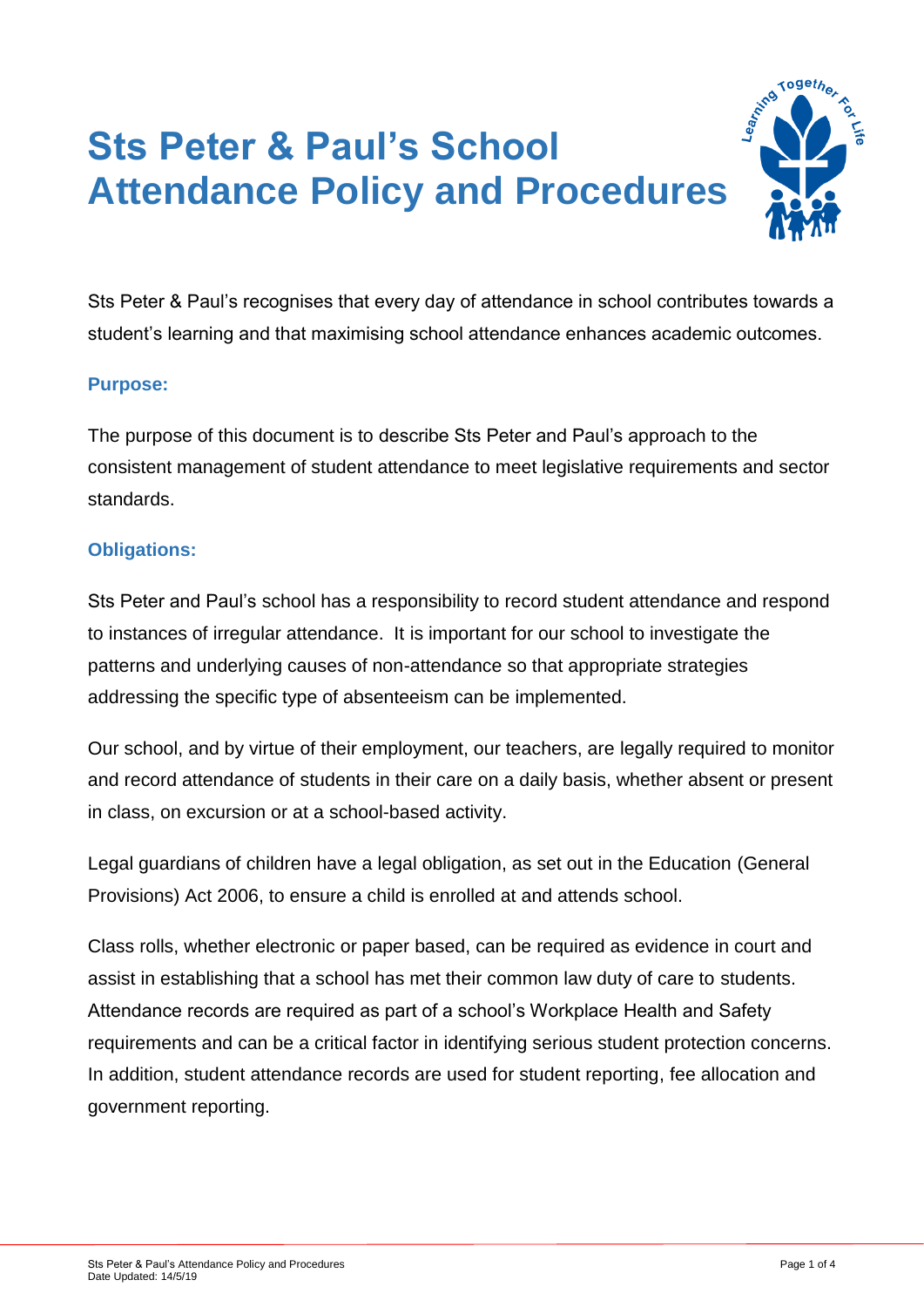# **Sts Peter & Paul's School Attendance Policy and Procedures**



Sts Peter & Paul's recognises that every day of attendance in school contributes towards a student's learning and that maximising school attendance enhances academic outcomes.

## **Purpose:**

The purpose of this document is to describe Sts Peter and Paul's approach to the consistent management of student attendance to meet legislative requirements and sector standards.

## **Obligations:**

Sts Peter and Paul's school has a responsibility to record student attendance and respond to instances of irregular attendance. It is important for our school to investigate the patterns and underlying causes of non-attendance so that appropriate strategies addressing the specific type of absenteeism can be implemented.

Our school, and by virtue of their employment, our teachers, are legally required to monitor and record attendance of students in their care on a daily basis, whether absent or present in class, on excursion or at a school-based activity.

Legal guardians of children have a legal obligation, as set out in the Education (General Provisions) Act 2006, to ensure a child is enrolled at and attends school.

Class rolls, whether electronic or paper based, can be required as evidence in court and assist in establishing that a school has met their common law duty of care to students. Attendance records are required as part of a school's Workplace Health and Safety requirements and can be a critical factor in identifying serious student protection concerns. In addition, student attendance records are used for student reporting, fee allocation and government reporting.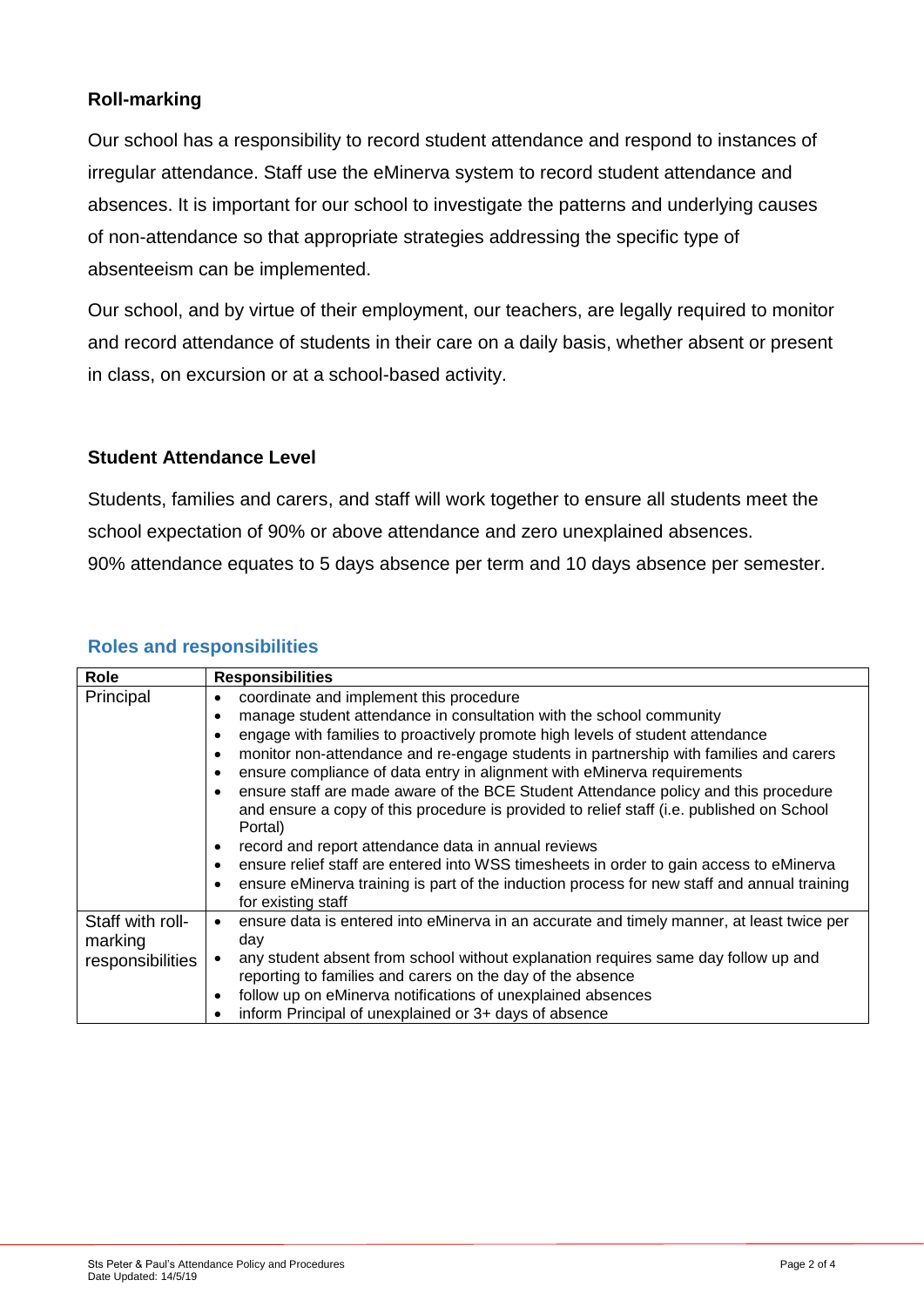## **Roll-marking**

Our school has a responsibility to record student attendance and respond to instances of irregular attendance. Staff use the eMinerva system to record student attendance and absences. It is important for our school to investigate the patterns and underlying causes of non-attendance so that appropriate strategies addressing the specific type of absenteeism can be implemented.

Our school, and by virtue of their employment, our teachers, are legally required to monitor and record attendance of students in their care on a daily basis, whether absent or present in class, on excursion or at a school-based activity.

## **Student Attendance Level**

Students, families and carers, and staff will work together to ensure all students meet the school expectation of 90% or above attendance and zero unexplained absences. 90% attendance equates to 5 days absence per term and 10 days absence per semester.

| Role                        | <b>Responsibilities</b>                                                                                                                                                                     |
|-----------------------------|---------------------------------------------------------------------------------------------------------------------------------------------------------------------------------------------|
| Principal                   | coordinate and implement this procedure<br>٠                                                                                                                                                |
|                             | manage student attendance in consultation with the school community<br>٠                                                                                                                    |
|                             | engage with families to proactively promote high levels of student attendance                                                                                                               |
|                             | monitor non-attendance and re-engage students in partnership with families and carers<br>٠                                                                                                  |
|                             | ensure compliance of data entry in alignment with eMinerva requirements<br>٠                                                                                                                |
|                             | ensure staff are made aware of the BCE Student Attendance policy and this procedure<br>and ensure a copy of this procedure is provided to relief staff (i.e. published on School<br>Portal) |
|                             | record and report attendance data in annual reviews                                                                                                                                         |
|                             | ensure relief staff are entered into WSS timesheets in order to gain access to eMinerva                                                                                                     |
|                             | ensure eMinerva training is part of the induction process for new staff and annual training<br>٠<br>for existing staff                                                                      |
| Staff with roll-<br>marking | ensure data is entered into eMinerva in an accurate and timely manner, at least twice per<br>day                                                                                            |
| responsibilities            | any student absent from school without explanation requires same day follow up and                                                                                                          |
|                             | reporting to families and carers on the day of the absence                                                                                                                                  |
|                             | follow up on eMinerva notifications of unexplained absences<br>٠                                                                                                                            |
|                             | inform Principal of unexplained or 3+ days of absence<br>٠                                                                                                                                  |

## **Roles and responsibilities**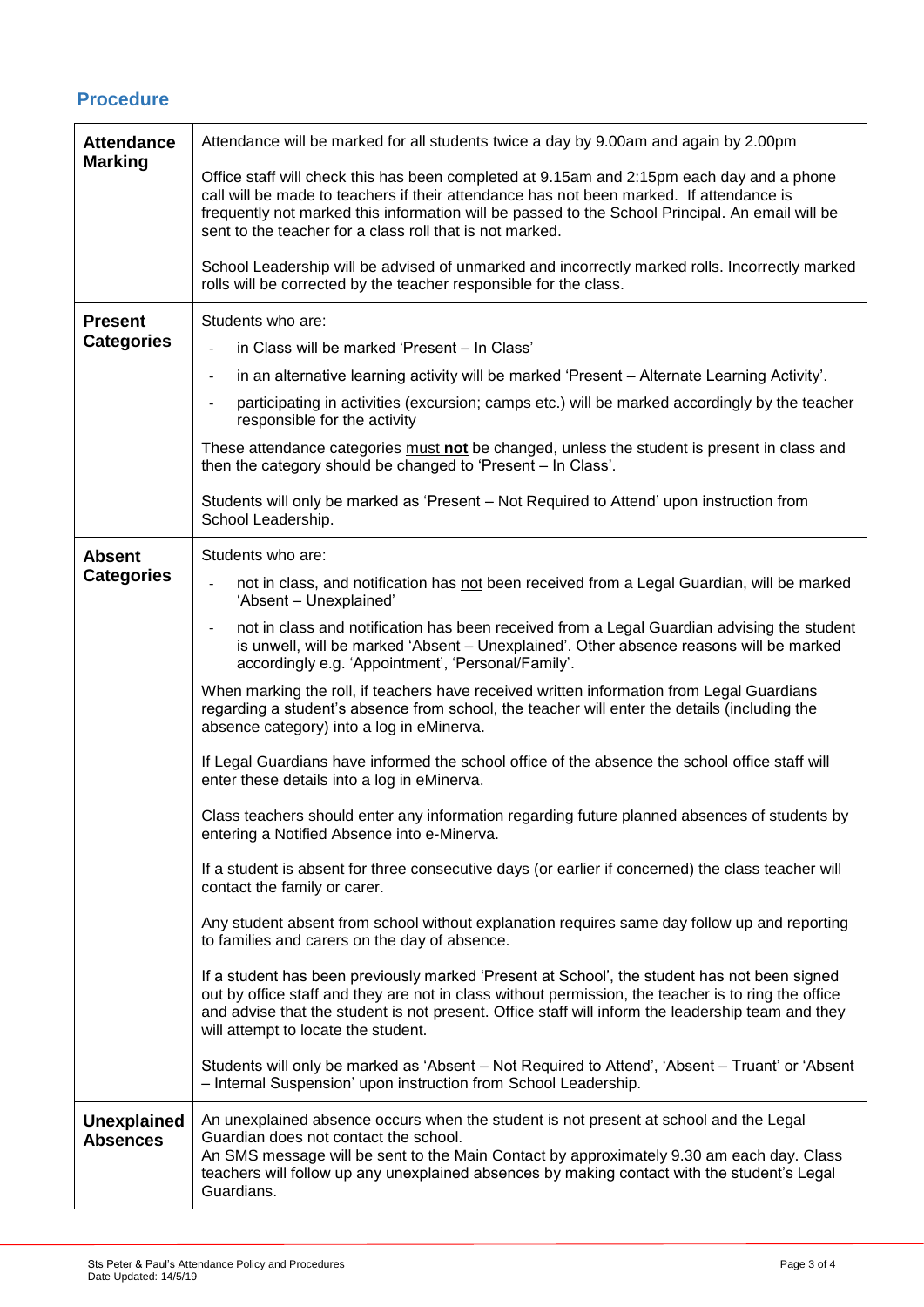## **Procedure**

| <b>Attendance</b>                     | Attendance will be marked for all students twice a day by 9.00am and again by 2.00pm                                                                                                                                                                                                                                                                |
|---------------------------------------|-----------------------------------------------------------------------------------------------------------------------------------------------------------------------------------------------------------------------------------------------------------------------------------------------------------------------------------------------------|
| <b>Marking</b>                        | Office staff will check this has been completed at 9.15am and 2:15pm each day and a phone<br>call will be made to teachers if their attendance has not been marked. If attendance is<br>frequently not marked this information will be passed to the School Principal. An email will be<br>sent to the teacher for a class roll that is not marked. |
|                                       | School Leadership will be advised of unmarked and incorrectly marked rolls. Incorrectly marked<br>rolls will be corrected by the teacher responsible for the class.                                                                                                                                                                                 |
| <b>Present</b><br><b>Categories</b>   | Students who are:                                                                                                                                                                                                                                                                                                                                   |
|                                       | in Class will be marked 'Present - In Class'                                                                                                                                                                                                                                                                                                        |
|                                       | in an alternative learning activity will be marked 'Present - Alternate Learning Activity'.<br>$\overline{\phantom{a}}$                                                                                                                                                                                                                             |
|                                       | participating in activities (excursion; camps etc.) will be marked accordingly by the teacher<br>$\blacksquare$<br>responsible for the activity                                                                                                                                                                                                     |
|                                       | These attendance categories must not be changed, unless the student is present in class and<br>then the category should be changed to 'Present - In Class'.                                                                                                                                                                                         |
|                                       | Students will only be marked as 'Present - Not Required to Attend' upon instruction from<br>School Leadership.                                                                                                                                                                                                                                      |
| <b>Absent</b>                         | Students who are:                                                                                                                                                                                                                                                                                                                                   |
| <b>Categories</b>                     | not in class, and notification has not been received from a Legal Guardian, will be marked<br>'Absent - Unexplained'                                                                                                                                                                                                                                |
|                                       | not in class and notification has been received from a Legal Guardian advising the student<br>is unwell, will be marked 'Absent - Unexplained'. Other absence reasons will be marked<br>accordingly e.g. 'Appointment', 'Personal/Family'.                                                                                                          |
|                                       | When marking the roll, if teachers have received written information from Legal Guardians<br>regarding a student's absence from school, the teacher will enter the details (including the<br>absence category) into a log in eMinerva.                                                                                                              |
|                                       | If Legal Guardians have informed the school office of the absence the school office staff will<br>enter these details into a log in eMinerva.                                                                                                                                                                                                       |
|                                       | Class teachers should enter any information regarding future planned absences of students by<br>entering a Notified Absence into e-Minerva.                                                                                                                                                                                                         |
|                                       | If a student is absent for three consecutive days (or earlier if concerned) the class teacher will<br>contact the family or carer.                                                                                                                                                                                                                  |
|                                       | Any student absent from school without explanation requires same day follow up and reporting<br>to families and carers on the day of absence.                                                                                                                                                                                                       |
|                                       | If a student has been previously marked 'Present at School', the student has not been signed<br>out by office staff and they are not in class without permission, the teacher is to ring the office<br>and advise that the student is not present. Office staff will inform the leadership team and they<br>will attempt to locate the student.     |
|                                       | Students will only be marked as 'Absent – Not Required to Attend', 'Absent – Truant' or 'Absent<br>- Internal Suspension' upon instruction from School Leadership.                                                                                                                                                                                  |
| <b>Unexplained</b><br><b>Absences</b> | An unexplained absence occurs when the student is not present at school and the Legal<br>Guardian does not contact the school.<br>An SMS message will be sent to the Main Contact by approximately 9.30 am each day. Class<br>teachers will follow up any unexplained absences by making contact with the student's Legal<br>Guardians.             |